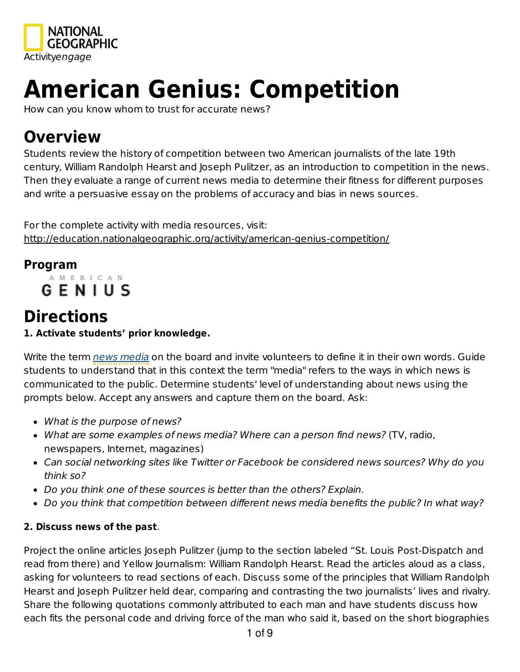

# **American Genius: Competition**

How can you know whom to trust for accurate news?

# **Overview**

Students review the history of competition between two American journalists of the late 19th century, William Randolph Hearst and Joseph Pulitzer, as an introduction to competition in the news. Then they evaluate a range of current news media to determine their fitness for different purposes and write a persuasive essay on the problems of accuracy and bias in news sources.

For the complete activity with media resources, visit: http://education.nationalgeographic.org/activity/american-genius-competition/

## **Program**

A M E R I C A N **GENIUS** 

# **Directions**

**1. Activate students' prior knowledge.**

Write the term news media on the board and invite volunteers to define it in their own words. Guide students to understand that in this context the term "media" refers to the ways in which news is communicated to the public. Determine students' level of understanding about news using the prompts below. Accept any answers and capture them on the board. Ask:

- What is the purpose of news?
- What are some examples of news media? Where can a person find news? (TV, radio, newspapers, Internet, magazines)
- Can social networking sites like Twitter or Facebook be considered news sources? Why do you think so?
- Do you think one of these sources is better than the others? Explain.
- Do you think that competition between different news media benefits the public? In what way?

#### **2. Discuss news of the past**.

Project the online articles Joseph Pulitzer (jump to the section labeled "St. Louis Post-Dispatch and read from there) and Yellow Journalism: William Randolph Hearst. Read the articles aloud as a class, asking for volunteers to read sections of each. Discuss some of the principles that William Randolph Hearst and Joseph Pulitzer held dear, comparing and contrasting the two journalists' lives and rivalry. Share the following quotations commonly attributed to each man and have students discuss how each fits the personal code and driving force of the man who said it, based on the short biographies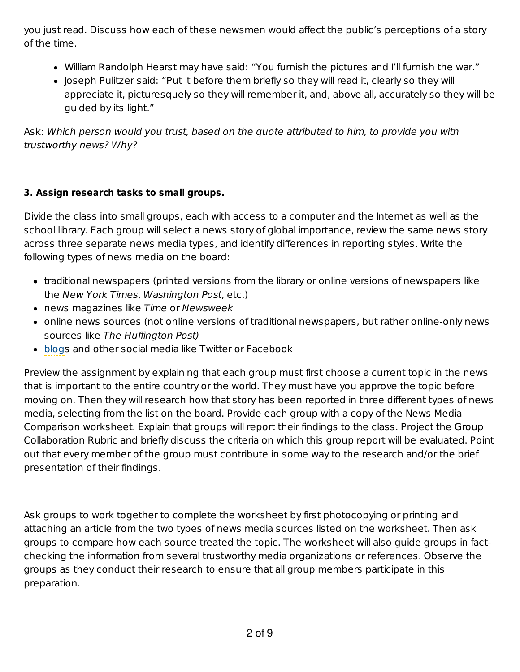you just read. Discuss how each of these newsmen would affect the public's perceptions of a story of the time.

- William Randolph Hearst may have said: "You furnish the pictures and I'll furnish the war."
- Joseph Pulitzer said: "Put it before them briefly so they will read it, clearly so they will appreciate it, picturesquely so they will remember it, and, above all, accurately so they will be guided by its light."

Ask: Which person would you trust, based on the quote attributed to him, to provide you with trustworthy news? Why?

#### **3. Assign research tasks to small groups.**

Divide the class into small groups, each with access to a computer and the Internet as well as the school library. Each group will select a news story of global importance, review the same news story across three separate news media types, and identify differences in reporting styles. Write the following types of news media on the board:

- traditional newspapers (printed versions from the library or online versions of newspapers like the New York Times, Washington Post, etc.)
- news magazines like Time or Newsweek
- online news sources (not online versions of traditional newspapers, but rather online-only news sources like The Huffington Post)
- blogs and other social media like Twitter or Facebook

Preview the assignment by explaining that each group must first choose a current topic in the news that is important to the entire country or the world. They must have you approve the topic before moving on. Then they will research how that story has been reported in three different types of news media, selecting from the list on the board. Provide each group with a copy of the News Media Comparison worksheet. Explain that groups will report their findings to the class. Project the Group Collaboration Rubric and briefly discuss the criteria on which this group report will be evaluated. Point out that every member of the group must contribute in some way to the research and/or the brief presentation of their findings.

Ask groups to work together to complete the worksheet by first photocopying or printing and attaching an article from the two types of news media sources listed on the worksheet. Then ask groups to compare how each source treated the topic. The worksheet will also guide groups in factchecking the information from several trustworthy media organizations or references. Observe the groups as they conduct their research to ensure that all group members participate in this preparation.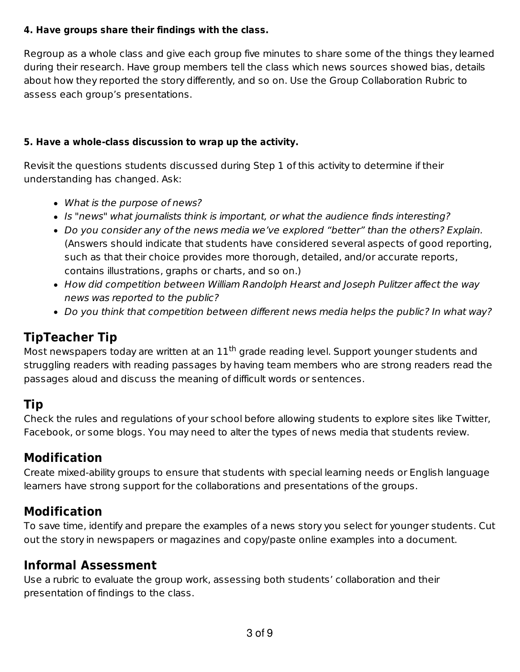#### **4. Have groups share their findings with the class.**

Regroup as a whole class and give each group five minutes to share some of the things they learned during their research. Have group members tell the class which news sources showed bias, details about how they reported the story differently, and so on. Use the Group Collaboration Rubric to assess each group's presentations.

#### **5. Have a whole-class discussion to wrap up the activity.**

Revisit the questions students discussed during Step 1 of this activity to determine if their understanding has changed. Ask:

- What is the purpose of news?
- Is "news" what journalists think is important, or what the audience finds interesting?
- Do you consider any of the news media we've explored "better" than the others? Explain. (Answers should indicate that students have considered several aspects of good reporting, such as that their choice provides more thorough, detailed, and/or accurate reports, contains illustrations, graphs or charts, and so on.)
- How did competition between William Randolph Hearst and Joseph Pulitzer affect the way news was reported to the public?
- Do you think that competition between different news media helps the public? In what way?

## **TipTeacher Tip**

Most newspapers today are written at an  $11<sup>th</sup>$  grade reading level. Support younger students and struggling readers with reading passages by having team members who are strong readers read the passages aloud and discuss the meaning of difficult words or sentences.

## **Tip**

Check the rules and regulations of your school before allowing students to explore sites like Twitter, Facebook, or some blogs. You may need to alter the types of news media that students review.

## **Modification**

Create mixed-ability groups to ensure that students with special learning needs or English language learners have strong support for the collaborations and presentations of the groups.

## **Modification**

To save time, identify and prepare the examples of a news story you select for younger students. Cut out the story in newspapers or magazines and copy/paste online examples into a document.

## **Informal Assessment**

Use a rubric to evaluate the group work, assessing both students' collaboration and their presentation of findings to the class.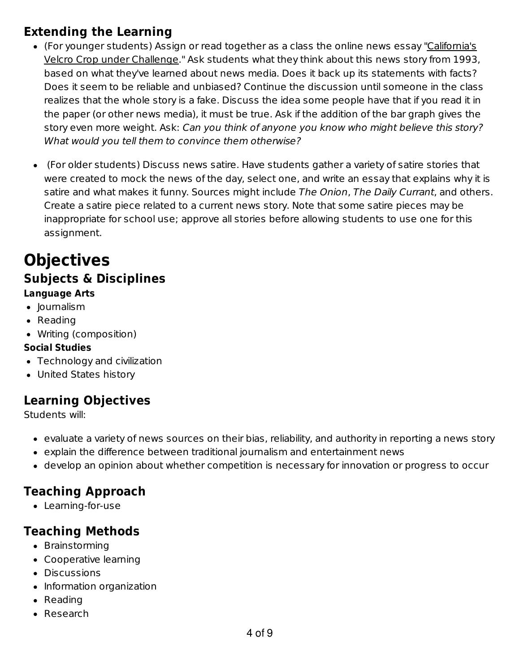## **Extending the Learning**

- (For younger students) Assign or read together as a class the online news essay "California's Velcro Crop under Challenge." Ask students what they think about this news story from 1993, based on what they've learned about news media. Does it back up its statements with facts? Does it seem to be reliable and unbiased? Continue the discussion until someone in the class realizes that the whole story is a fake. Discuss the idea some people have that if you read it in the paper (or other news media), it must be true. Ask if the addition of the bar graph gives the story even more weight. Ask: Can you think of anyone you know who might believe this story? What would you tell them to convince them otherwise?
- (For older students) Discuss news satire. Have students gather a variety of satire stories that were created to mock the news of the day, select one, and write an essay that explains why it is satire and what makes it funny. Sources might include The Onion, The Daily Currant, and others. Create a satire piece related to a current news story. Note that some satire pieces may be inappropriate for school use; approve all stories before allowing students to use one for this assignment.

## **Objectives Subjects & Disciplines Language Arts**

- Journalism
- Reading
- Writing (composition)

#### **Social Studies**

- Technology and civilization
- United States history

## **Learning Objectives**

Students will:

- evaluate a variety of news sources on their bias, reliability, and authority in reporting a news story
- explain the difference between traditional journalism and entertainment news
- develop an opinion about whether competition is necessary for innovation or progress to occur

## **Teaching Approach**

Learning-for-use

## **Teaching Methods**

- Brainstorming
- Cooperative learning
- Discussions
- Information organization
- Reading
- Research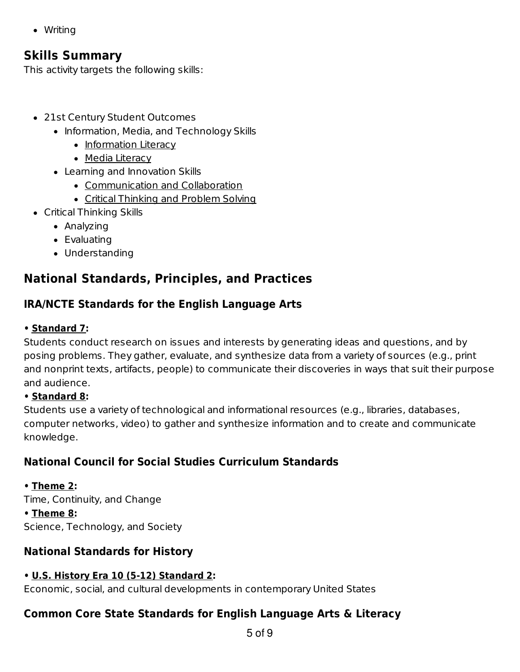• Writing

#### **Skills Summary**

This activity targets the following skills:

- 21st Century Student Outcomes
	- Information, Media, and Technology Skills
		- Information Literacy
		- Media Literacy
	- Learning and Innovation Skills
		- Communication and Collaboration
		- Critical Thinking and Problem Solving
- Critical Thinking Skills
	- Analyzing
	- Evaluating
	- Understanding

## **National Standards, Principles, and Practices**

#### **IRA/NCTE Standards for the English Language Arts**

#### **• Standard 7:**

Students conduct research on issues and interests by generating ideas and questions, and by posing problems. They gather, evaluate, and synthesize data from a variety of sources (e.g., print and nonprint texts, artifacts, people) to communicate their discoveries in ways that suit their purpose and audience.

#### **• Standard 8:**

Students use a variety of technological and informational resources (e.g., libraries, databases, computer networks, video) to gather and synthesize information and to create and communicate knowledge.

## **National Council for Social Studies Curriculum Standards**

#### **• Theme 2:**

Time, Continuity, and Change **• Theme 8:** Science, Technology, and Society

#### **National Standards for History**

#### **• U.S. History Era 10 (5-12) Standard 2:**

Economic, social, and cultural developments in contemporary United States

#### **Common Core State Standards for English Language Arts & Literacy**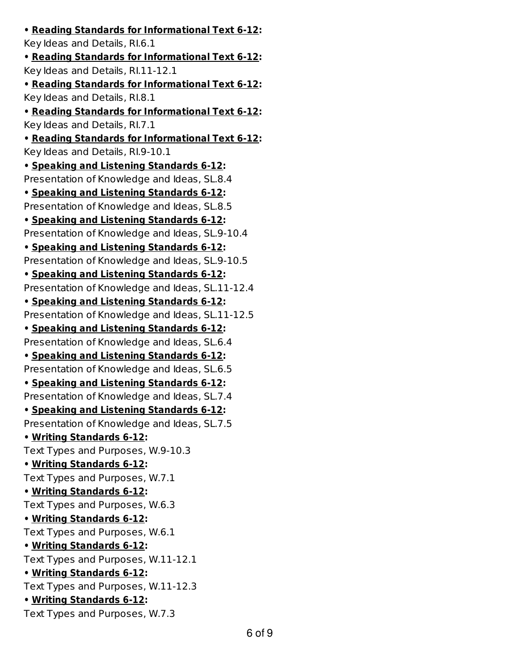**• Reading Standards for Informational Text 6-12:** Key Ideas and Details, RI.6.1 **• Reading Standards for Informational Text 6-12:** Key Ideas and Details, RI.11-12.1 **• Reading Standards for Informational Text 6-12:** Key Ideas and Details, RI.8.1 **• Reading Standards for Informational Text 6-12:** Key Ideas and Details, RI.7.1 **• Reading Standards for Informational Text 6-12:** Key Ideas and Details, RI.9-10.1 **• Speaking and Listening Standards 6-12:** Presentation of Knowledge and Ideas, SL.8.4 **• Speaking and Listening Standards 6-12:** Presentation of Knowledge and Ideas, SL.8.5 **• Speaking and Listening Standards 6-12:** Presentation of Knowledge and Ideas, SL.9-10.4 **• Speaking and Listening Standards 6-12:** Presentation of Knowledge and Ideas, SL.9-10.5 **• Speaking and Listening Standards 6-12:** Presentation of Knowledge and Ideas, SL.11-12.4 **• Speaking and Listening Standards 6-12:** Presentation of Knowledge and Ideas, SL.11-12.5 **• Speaking and Listening Standards 6-12:** Presentation of Knowledge and Ideas, SL.6.4 **• Speaking and Listening Standards 6-12:** Presentation of Knowledge and Ideas, SL.6.5 **• Speaking and Listening Standards 6-12:** Presentation of Knowledge and Ideas, SL.7.4 **• Speaking and Listening Standards 6-12:** Presentation of Knowledge and Ideas, SL.7.5 **• Writing Standards 6-12:** Text Types and Purposes, W.9-10.3 **• Writing Standards 6-12:** Text Types and Purposes, W.7.1 **• Writing Standards 6-12:** Text Types and Purposes, W.6.3 **• Writing Standards 6-12:** Text Types and Purposes, W.6.1 **• Writing Standards 6-12:** Text Types and Purposes, W.11-12.1 **• Writing Standards 6-12:** Text Types and Purposes, W.11-12.3 **• Writing Standards 6-12:** Text Types and Purposes, W.7.3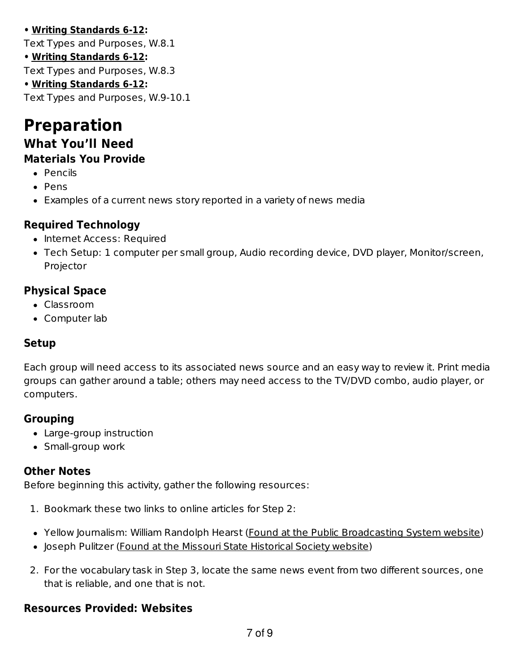#### **• Writing Standards 6-12:**

Text Types and Purposes, W.8.1

**• Writing Standards 6-12:**

Text Types and Purposes, W.8.3

#### **• Writing Standards 6-12:**

Text Types and Purposes, W.9-10.1

## **Preparation What You'll Need**

## **Materials You Provide**

- Pencils
- Pens
- Examples of a current news story reported in a variety of news media

#### **Required Technology**

- Internet Access: Required
- Tech Setup: 1 computer per small group, Audio recording device, DVD player, Monitor/screen, Projector

#### **Physical Space**

- Classroom
- Computer lab

#### **Setup**

Each group will need access to its associated news source and an easy way to review it. Print media groups can gather around a table; others may need access to the TV/DVD combo, audio player, or computers.

#### **Grouping**

- Large-group instruction
- Small-group work

#### **Other Notes**

Before beginning this activity, gather the following resources:

- 1. Bookmark these two links to online articles for Step 2:
- Yellow Journalism: William Randolph Hearst (Found at the Public Broadcasting System website)
- Joseph Pulitzer (Found at the Missouri State Historical Society website)
- 2. For the vocabulary task in Step 3, locate the same news event from two different sources, one that is reliable, and one that is not.

#### **Resources Provided: Websites**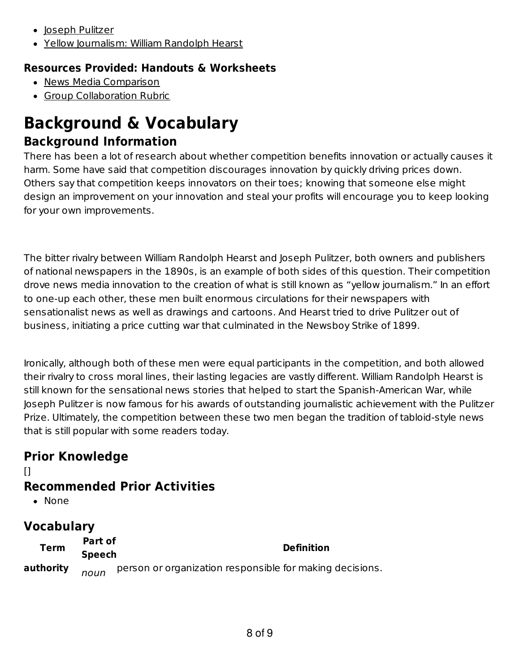- Joseph Pulitzer
- Yellow Journalism: William Randolph Hearst

#### **Resources Provided: Handouts & Worksheets**

- News Media Comparison
- **Group Collaboration Rubric**

## **Background & Vocabulary Background Information**

There has been a lot of research about whether competition benefits innovation or actually causes it harm. Some have said that competition discourages innovation by quickly driving prices down. Others say that competition keeps innovators on their toes; knowing that someone else might design an improvement on your innovation and steal your profits will encourage you to keep looking for your own improvements.

The bitter rivalry between William Randolph Hearst and Joseph Pulitzer, both owners and publishers of national newspapers in the 1890s, is an example of both sides of this question. Their competition drove news media innovation to the creation of what is still known as "yellow journalism." In an effort to one-up each other, these men built enormous circulations for their newspapers with sensationalist news as well as drawings and cartoons. And Hearst tried to drive Pulitzer out of business, initiating a price cutting war that culminated in the Newsboy Strike of 1899.

Ironically, although both of these men were equal participants in the competition, and both allowed their rivalry to cross moral lines, their lasting legacies are vastly different. William Randolph Hearst is still known for the sensational news stories that helped to start the Spanish-American War, while Joseph Pulitzer is now famous for his awards of outstanding journalistic achievement with the Pulitzer Prize. Ultimately, the competition between these two men began the tradition of tabloid-style news that is still popular with some readers today.

## **Prior Knowledge**

## **Recommended Prior Activities**

• None

 $[1]$ 

## **Vocabulary**

| <b>Term</b> | Part of<br><b>Definition</b><br><b>Speech</b> |                                                          |
|-------------|-----------------------------------------------|----------------------------------------------------------|
| authority   | noun                                          | person or organization responsible for making decisions. |